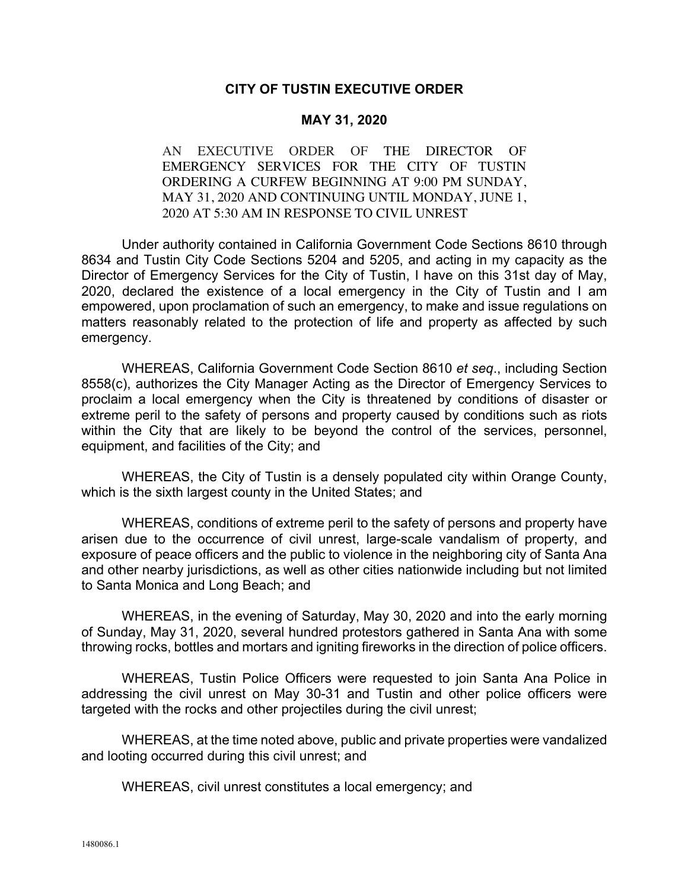## **CITY OF TUSTIN EXECUTIVE ORDER**

## **MAY 31, 2020**

AN EXECUTIVE ORDER OF THE DIRECTOR OF EMERGENCY SERVICES FOR THE CITY OF TUSTIN ORDERING A CURFEW BEGINNING AT 9:00 PM SUNDAY, MAY 31, 2020 AND CONTINUING UNTIL MONDAY, JUNE 1, 2020 AT 5:30 AM IN RESPONSE TO CIVIL UNREST

Under authority contained in California Government Code Sections 8610 through 8634 and Tustin City Code Sections 5204 and 5205, and acting in my capacity as the Director of Emergency Services for the City of Tustin, I have on this 31st day of May, 2020, declared the existence of a local emergency in the City of Tustin and I am empowered, upon proclamation of such an emergency, to make and issue regulations on matters reasonably related to the protection of life and property as affected by such emergency.

WHEREAS, California Government Code Section 8610 *et seq*., including Section 8558(c), authorizes the City Manager Acting as the Director of Emergency Services to proclaim a local emergency when the City is threatened by conditions of disaster or extreme peril to the safety of persons and property caused by conditions such as riots within the City that are likely to be beyond the control of the services, personnel, equipment, and facilities of the City; and

WHEREAS, the City of Tustin is a densely populated city within Orange County, which is the sixth largest county in the United States; and

WHEREAS, conditions of extreme peril to the safety of persons and property have arisen due to the occurrence of civil unrest, large-scale vandalism of property, and exposure of peace officers and the public to violence in the neighboring city of Santa Ana and other nearby jurisdictions, as well as other cities nationwide including but not limited to Santa Monica and Long Beach; and

WHEREAS, in the evening of Saturday, May 30, 2020 and into the early morning of Sunday, May 31, 2020, several hundred protestors gathered in Santa Ana with some throwing rocks, bottles and mortars and igniting fireworks in the direction of police officers.

WHEREAS, Tustin Police Officers were requested to join Santa Ana Police in addressing the civil unrest on May 30-31 and Tustin and other police officers were targeted with the rocks and other projectiles during the civil unrest;

WHEREAS, at the time noted above, public and private properties were vandalized and looting occurred during this civil unrest; and

WHEREAS, civil unrest constitutes a local emergency; and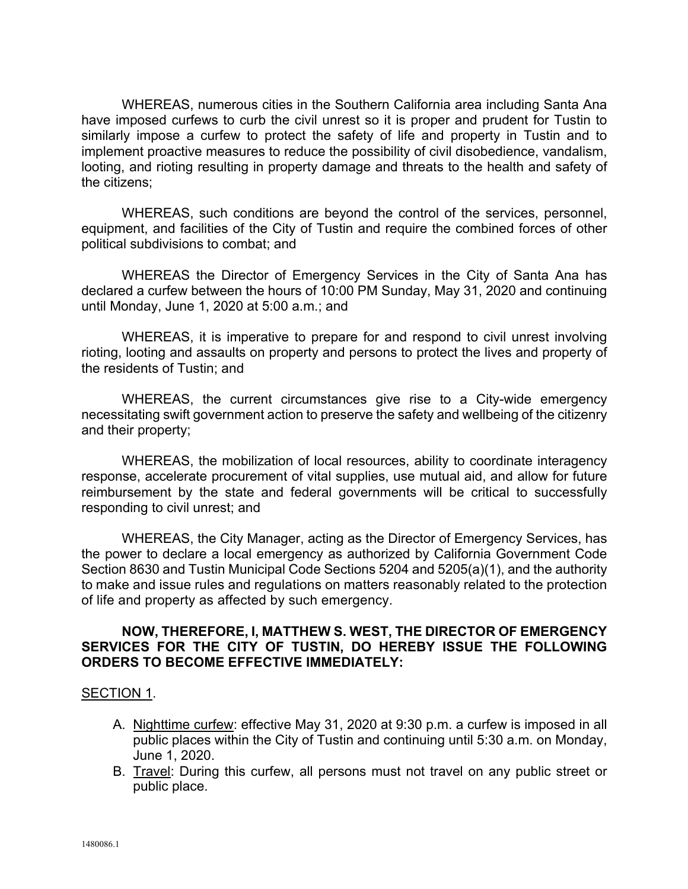WHEREAS, numerous cities in the Southern California area including Santa Ana have imposed curfews to curb the civil unrest so it is proper and prudent for Tustin to similarly impose a curfew to protect the safety of life and property in Tustin and to implement proactive measures to reduce the possibility of civil disobedience, vandalism, looting, and rioting resulting in property damage and threats to the health and safety of the citizens;

WHEREAS, such conditions are beyond the control of the services, personnel, equipment, and facilities of the City of Tustin and require the combined forces of other political subdivisions to combat; and

WHEREAS the Director of Emergency Services in the City of Santa Ana has declared a curfew between the hours of 10:00 PM Sunday, May 31, 2020 and continuing until Monday, June 1, 2020 at 5:00 a.m.; and

WHEREAS, it is imperative to prepare for and respond to civil unrest involving rioting, looting and assaults on property and persons to protect the lives and property of the residents of Tustin; and

WHEREAS, the current circumstances give rise to a City-wide emergency necessitating swift government action to preserve the safety and wellbeing of the citizenry and their property;

WHEREAS, the mobilization of local resources, ability to coordinate interagency response, accelerate procurement of vital supplies, use mutual aid, and allow for future reimbursement by the state and federal governments will be critical to successfully responding to civil unrest; and

WHEREAS, the City Manager, acting as the Director of Emergency Services, has the power to declare a local emergency as authorized by California Government Code Section 8630 and Tustin Municipal Code Sections 5204 and 5205(a)(1), and the authority to make and issue rules and regulations on matters reasonably related to the protection of life and property as affected by such emergency.

## **NOW, THEREFORE, I, MATTHEW S. WEST, THE DIRECTOR OF EMERGENCY SERVICES FOR THE CITY OF TUSTIN, DO HEREBY ISSUE THE FOLLOWING ORDERS TO BECOME EFFECTIVE IMMEDIATELY:**

## SECTION 1.

- A. Nighttime curfew: effective May 31, 2020 at 9:30 p.m. a curfew is imposed in all public places within the City of Tustin and continuing until 5:30 a.m. on Monday, June 1, 2020.
- B. Travel: During this curfew, all persons must not travel on any public street or public place.